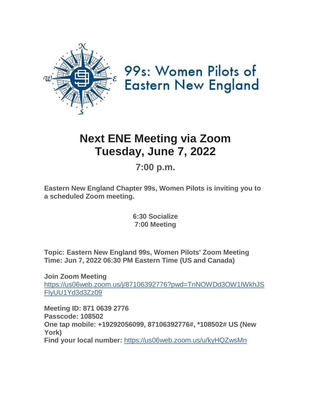

# 99s: Women Pilots of **Eastern New England**

## **Next ENE Meeting via Zoom Tuesday, June 7, 2022**

## **7:00 p.m.**

**Eastern New England Chapter 99s, Women Pilots is inviting you to a scheduled Zoom meeting.**

> **6:30 Socialize 7:00 Meeting**

**Topic: Eastern New England 99s, Women Pilots' Zoom Meeting Time: Jun 7, 2022 06:30 PM Eastern Time (US and Canada)**

**Join Zoom Meeting** [https://us06web.zoom.us/j/87106392776?pwd=TnNOWDd3OW1IWkhJS](https://us06web.zoom.us/j/87106392776?pwd=TnNOWDd3OW1IWkhJSFlyUU1Yd3d3Zz09) [FlyUU1Yd3d3Zz09](https://us06web.zoom.us/j/87106392776?pwd=TnNOWDd3OW1IWkhJSFlyUU1Yd3d3Zz09)

**Meeting ID: 871 0639 2776 Passcode: 108502 One tap mobile: +19292056099, 87106392776#, \*108502# US (New York) Find your local number:** <https://us06web.zoom.us/u/kyHQZwsMn>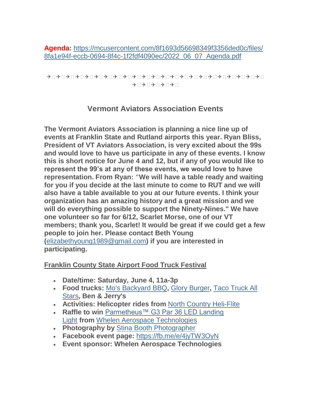**Agenda:** [https://mcusercontent.com/8f1693d56698349f3356ded0c/files/](https://mcusercontent.com/8f1693d56698349f3356ded0c/files/8fa1e94f-eccb-0694-8f4c-1f2fdf4090ec/2022_06_07_Agenda.pdf) [8fa1e94f-eccb-0694-8f4c-1f2fdf4090ec/2022\\_06\\_07\\_Agenda.pdf](https://mcusercontent.com/8f1693d56698349f3356ded0c/files/8fa1e94f-eccb-0694-8f4c-1f2fdf4090ec/2022_06_07_Agenda.pdf)

```
✈ ✈ ✈ ✈ ✈ ✈ ✈ ✈ ✈ ✈ ✈ ✈ ✈ ✈ ✈ ✈ ✈ ✈ ✈ ✈ ✈ ✈ ✈ 
               \star\Box \star\Box \star\Box \star\Box
```
#### **Vermont Aviators Association Events**

**The Vermont Aviators Association is planning a nice line up of events at Franklin State and Rutland airports this year. Ryan Bliss, President of VT Aviators Association, is very excited about the 99s and would love to have us participate in any of these events. I know this is short notice for June 4 and 12, but if any of you would like to represent the 99's at any of these events, we would love to have representation. From Ryan: "We will have a table ready and waiting for you if you decide at the last minute to come to RUT and we will also have a table available to you at our future events. I think your organization has an amazing history and a great mission and we will do everything possible to support the Ninety-Nines." We have one volunteer so far for 6/12, Scarlet Morse, one of our VT members; thank you, Scarlet! It would be great if we could get a few people to join her. Please contact Beth Young (**[elizabethyoung1989@gmail.com](mailto:elizabethyoung1989@gmail.com)**) if you are interested in participating.**

#### **Franklin County State Airport Food Truck Festival**

- **Date/time: Saturday, June 4, 11a-3p**
- **Food trucks:** [Mo's Backyard BBQ](https://www.facebook.com/MosBackyardBBQ)**,** [Glory Burger](https://gloryburgervt.wixsite.com/website)**,** [Taco Truck All](https://www.tacotruckallstars.com/)  [Stars](https://www.tacotruckallstars.com/)**, Ben & Jerry's**
- **Activities: Helicopter rides from** [North Country Heli-Flite](http://northcountryheliflite.com/)
- **Raffle to win** [Parmetheus™ G3 Par 36 LED Landing](https://flywat.com/collections/led-aircraft-landing-taxi-lights/products/parmetheus%E2%84%A2-g3)  [Light](https://flywat.com/collections/led-aircraft-landing-taxi-lights/products/parmetheus%E2%84%A2-g3) **from** [Whelen Aerospace Technologies](https://flywat.com/)
- **Photography by** [Stina Booth Photographer](https://www.stinabooth.com/)
- **Facebook event page:** <https://fb.me/e/4jyTW3OyN>
- **Event sponsor: Whelen Aerospace Technologies**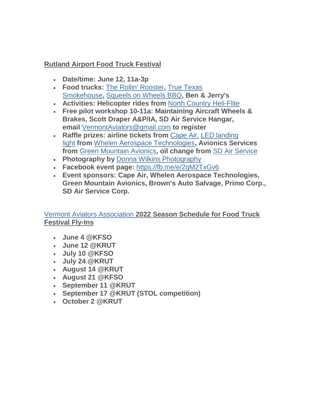#### **Rutland Airport Food Truck Festival**

- **Date/time: June 12, 11a-3p**
- **Food trucks:** [The Rollin' Rooster](https://www.therollinrooster.com/)**,** [True Texas](https://truetexassmokehouse.com/)  [Smokehouse](https://truetexassmokehouse.com/)**,** [Squeels on Wheels BBQ](https://www.squeelsonwheels.com/)**, Ben & Jerry's**
- **Activities: Helicopter rides from** [North Country Heli-Flite](http://northcountryheliflite.com/)
- **Free pilot workshop 10-11a: Maintaining Aircraft Wheels & Brakes, Scott Draper A&P/IA, SD Air Service Hangar, email** [VermontAviators@gmail.com](mailto:VermontAviators@gmail.com) **to register**
- **Raffle prizes: airline tickets from** [Cape Air,](https://www.capeair.com/) [LED landing](https://flywat.com/collections/led-aircraft-landing-taxi-lights/products/parmetheus%E2%84%A2-g3)  [light](https://flywat.com/collections/led-aircraft-landing-taxi-lights/products/parmetheus%E2%84%A2-g3) **from** [Whelen Aerospace Technologies](https://flywat.com/)**, Avionics Services from** [Green Mountain Avionics](http://www.greenmountainavionics.com/)**, oil change from** [SD Air Service](https://sdairservice.net/)
- **Photography by** [Donna Wilkins Photography](https://www.donnawilkinsphotography.com/)
- **Facebook event page:** <https://fb.me/e/2qM2TxGv6>
- **Event sponsors: Cape Air, Whelen Aerospace Technologies, Green Mountain Avionics, Brown's Auto Salvage, Primo Corp., SD Air Service Corp.**

#### [Vermont Aviators Association](https://www.facebook.com/Vermont-Aviators-Association-Inc-101703872549311) **2022 Season Schedule for Food Truck Festival Fly-Ins**

- **June 4 @KFSO**
- **June 12 @KRUT**
- **July 10 @KFSO**
- **July 24 @KRUT**
- **August 14 @KRUT**
- **August 21 @KFSO**
- **September 11 @KRUT**
- **September 17 @KRUT (STOL competition)**
- **October 2 @KRUT**